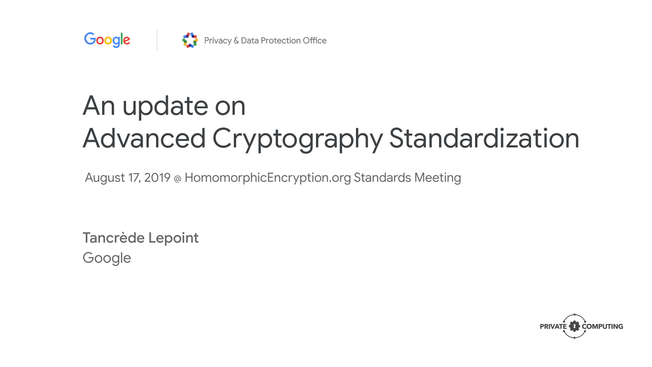

# An update on Advanced Cryptography Standardization

August 17, 2019 @ HomomorphicEncryption.org Standards Meeting

Tancrède Lepoint Google

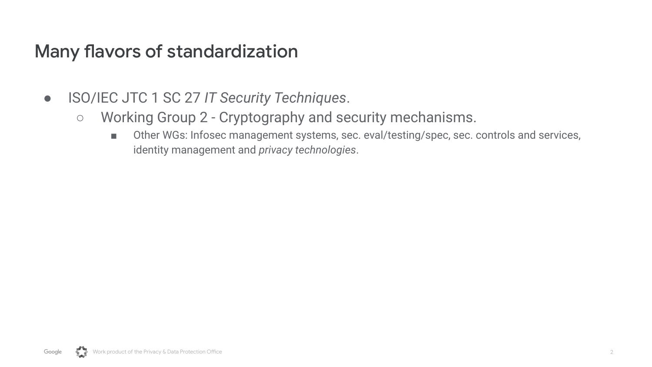- ISO/IEC JTC 1 SC 27 *IT Security Techniques*.
	- Working Group 2 Cryptography and security mechanisms.
		- Other WGs: Infosec management systems, sec. eval/testing/spec, sec. controls and services, identity management and *privacy technologies*.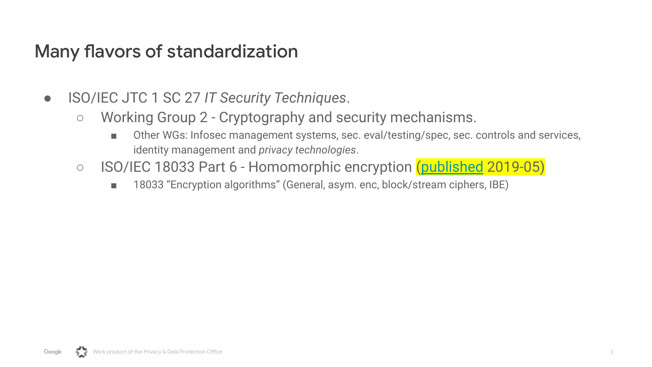- ISO/IEC JTC 1 SC 27 *IT Security Techniques*.
	- Working Group 2 Cryptography and security mechanisms.
		- Other WGs: Infosec management systems, sec. eval/testing/spec, sec. controls and services, identity management and *privacy technologies*.
	- ISO/IEC 18033 Part 6 Homomorphic encryption ([published](https://www.iso.org/obp/ui/#iso:std:iso-iec:18033:-6:ed-1:v1:en) 2019-05)
		- 18033 "Encryption algorithms" (General, asym. enc, block/stream ciphers, IBE)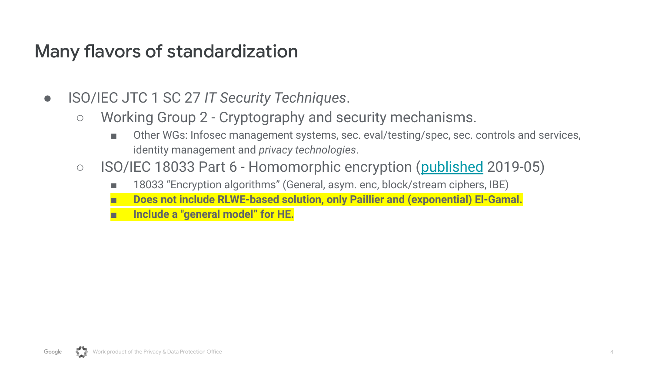- ISO/IEC JTC 1 SC 27 *IT Security Techniques*.
	- Working Group 2 Cryptography and security mechanisms.
		- Other WGs: Infosec management systems, sec. eval/testing/spec, sec. controls and services, identity management and *privacy technologies*.
	- ISO/IEC 18033 Part 6 Homomorphic encryption ([published](https://www.iso.org/standard/67740.html) 2019-05)
		- 18033 "Encryption algorithms" (General, asym. enc, block/stream ciphers, IBE)
		- **■ Does not include RLWE-based solution, only Paillier and (exponential) El-Gamal.**
		- **■ Include a "general model" for HE.**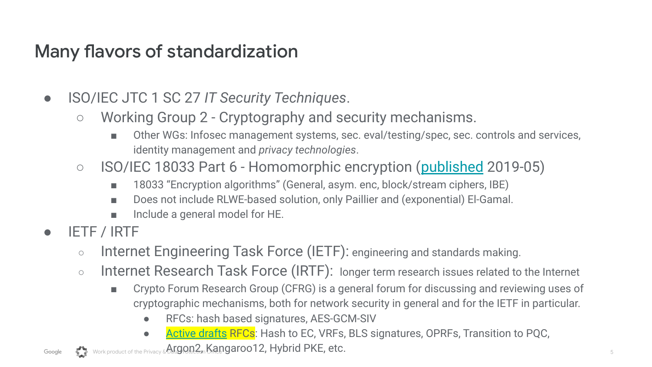- ISO/IEC JTC 1 SC 27 *IT Security Techniques*.
	- Working Group 2 Cryptography and security mechanisms.
		- Other WGs: Infosec management systems, sec. eval/testing/spec, sec. controls and services, identity management and *privacy technologies*.
	- ISO/IEC 18033 Part 6 Homomorphic encryption ([published](https://www.iso.org/obp/ui/#iso:std:iso-iec:18033:-6:ed-1:v1:en) 2019-05)
		- 18033 "Encryption algorithms" (General, asym. enc, block/stream ciphers, IBE)
		- Does not include RLWE-based solution, only Paillier and (exponential) El-Gamal.
		- Include a general model for HE.
- **IETF / IRTF** 
	- Internet Engineering Task Force (IETF): engineering and standards making.
	- Internet Research Task Force (IRTF): longer term research issues related to the Internet
		- Crypto Forum Research Group (CFRG) is a general forum for discussing and reviewing uses of cryptographic mechanisms, both for network security in general and for the IETF in particular.
			- RFCs: hash based signatures, AES-GCM-SIV
			- [Active drafts](https://datatracker.ietf.org/rg/cfrg/documents/) RFCs: Hash to EC, VRFs, BLS signatures, OPRFs, Transition to PQC,

Google  $\sum_{\text{Nock product of the Privacy} } \Delta$ rgon2, Kangaroo12, Hybrid PKE, etc.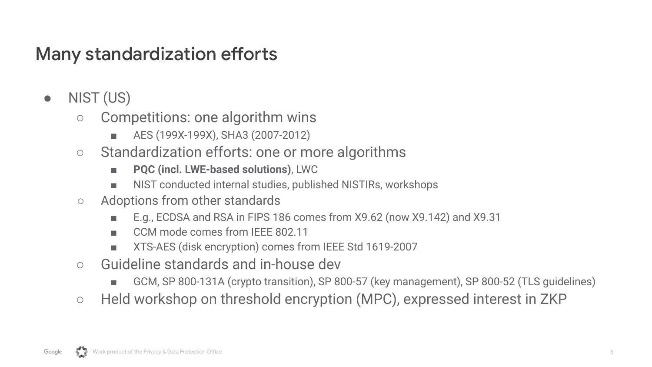## Many standardization efforts

- NIST (US)
	- Competitions: one algorithm wins
		- AES (199X-199X), SHA3 (2007-2012)
	- Standardization efforts: one or more algorithms
		- **PQC (incl. LWE-based solutions)**, LWC
		- NIST conducted internal studies, published NISTIRs, workshops
	- Adoptions from other standards
		- E.g., ECDSA and RSA in FIPS 186 comes from X9.62 (now X9.142) and X9.31
		- CCM mode comes from IFFF 802.11
		- XTS-AES (disk encryption) comes from IEEE Std 1619-2007
	- Guideline standards and in-house dev
		- GCM, SP 800-131A (crypto transition), SP 800-57 (key management), SP 800-52 (TLS quidelines)
	- Held workshop on threshold encryption (MPC), expressed interest in ZKP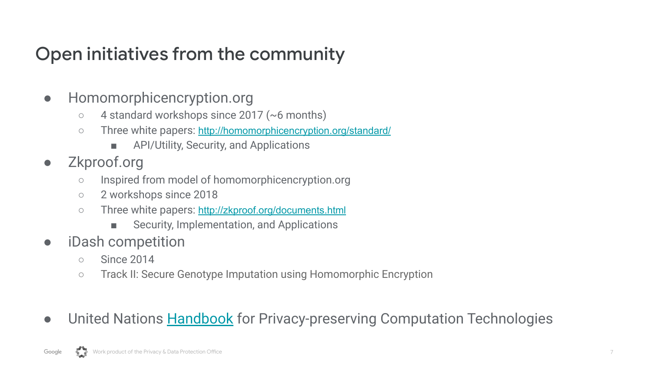# Open initiatives from the community

- Homomorphicencryption.org
	- 4 standard workshops since 2017 (~6 months)
	- o Three white papers: <http://homomorphicencryption.org/standard/>
		- API/Utility, Security, and Applications
- Zkproof.org
	- Inspired from model of homomorphicencryption.org
	- 2 workshops since 2018
	- Three white papers: <http://zkproof.org/documents.html>
		- Security, Implementation, and Applications
- iDash competition
	- Since 2014
	- Track II: Secure Genotype Imputation using Homomorphic Encryption
- **•** United Nations **Handbook** for Privacy-preserving Computation Technologies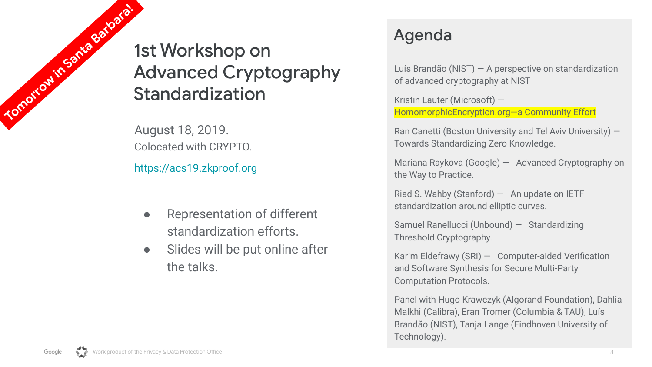1st Workshop on Advanced Cryptography Standardization **Tomorrow in Santa Barbara!** 

August 18, 2019. Colocated with CRYPTO.

<https://acs19.zkproof.org>

- Representation of different standardization efforts.
- Slides will be put online after the talks.

#### Agenda

Luís Brandão (NIST) — A perspective on standardization of advanced cryptography at NIST

Kristin Lauter (Microsoft) — HomomorphicEncryption.org—a Community Effort

Ran Canetti (Boston University and Tel Aviv University) — Towards Standardizing Zero Knowledge.

Mariana Raykova (Google) — Advanced Cryptography on the Way to Practice.

Riad S. Wahby (Stanford)  $-$  An update on IETF standardization around elliptic curves.

Samuel Ranellucci (Unbound) — Standardizing Threshold Cryptography.

Karim Eldefrawy (SRI) — Computer-aided Verification and Software Synthesis for Secure Multi-Party Computation Protocols.

Panel with Hugo Krawczyk (Algorand Foundation), Dahlia Malkhi (Calibra), Eran Tromer (Columbia & TAU), Luís Brandão (NIST), Tanja Lange (Eindhoven University of Technology).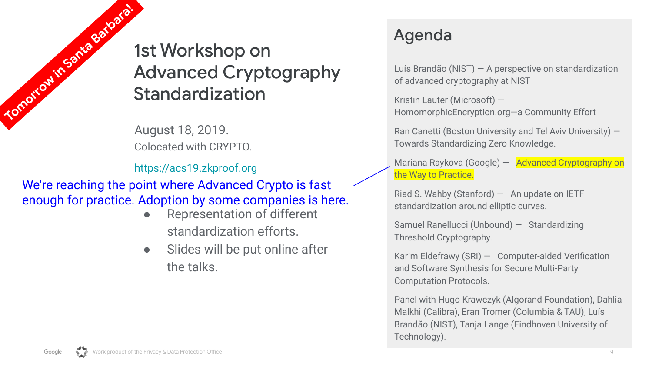1st Workshop on Advanced Cryptography Standardization **Tomorrow in Santa Barbara!** 

August 18, 2019. Colocated with CRYPTO.

<https://acs19.zkproof.org>

We're reaching the point where Advanced Crypto is fast enough for practice. Adoption by some companies is here.

- **Representation of different** standardization efforts.
- Slides will be put online after the talks.

#### Agenda

Luís Brandão (NIST) — A perspective on standardization of advanced cryptography at NIST

Kristin Lauter (Microsoft) — HomomorphicEncryption.org—a Community Effort

Ran Canetti (Boston University and Tel Aviv University) — Towards Standardizing Zero Knowledge.

Mariana Raykova (Google) - Advanced Cryptography on the Way to Practice.

Riad S. Wahby (Stanford)  $-$  An update on IETF standardization around elliptic curves.

Samuel Ranellucci (Unbound) — Standardizing Threshold Cryptography.

Karim Eldefrawy (SRI) — Computer-aided Verification and Software Synthesis for Secure Multi-Party Computation Protocols.

Panel with Hugo Krawczyk (Algorand Foundation), Dahlia Malkhi (Calibra), Eran Tromer (Columbia & TAU), Luís Brandão (NIST), Tanja Lange (Eindhoven University of Technology).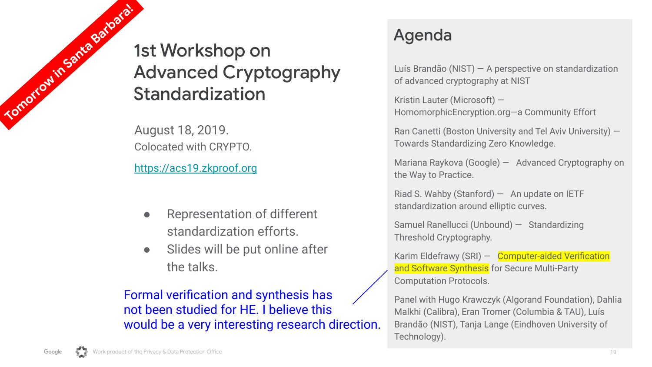1st Workshop on Advanced Cryptography Standardization **Tomorrow in Santa Barbara!** 

August 18, 2019. Colocated with CRYPTO.

<https://acs19.zkproof.org>

- **Representation of different** standardization efforts.
- Slides will be put online after the talks.

Formal verification and synthesis has not been studied for HE. I believe this would be a very interesting research direction.

#### Agenda

Luís Brandão (NIST) — A perspective on standardization of advanced cryptography at NIST

Kristin Lauter (Microsoft) — HomomorphicEncryption.org—a Community Effort

Ran Canetti (Boston University and Tel Aviv University) — Towards Standardizing Zero Knowledge.

Mariana Raykova (Google) — Advanced Cryptography on the Way to Practice.

Riad S. Wahby (Stanford)  $-$  An update on IETF standardization around elliptic curves.

Samuel Ranellucci (Unbound) — Standardizing Threshold Cryptography.

Karim Eldefrawy (SRI) - Computer-aided Verification and Software Synthesis for Secure Multi-Party Computation Protocols.

Panel with Hugo Krawczyk (Algorand Foundation), Dahlia Malkhi (Calibra), Eran Tromer (Columbia & TAU), Luís Brandão (NIST), Tanja Lange (Eindhoven University of Technology).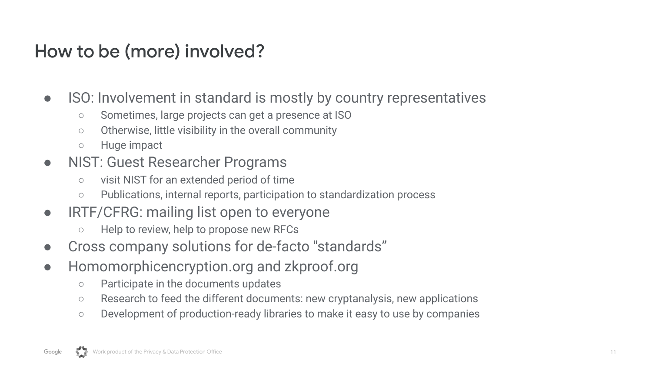# How to be (more) involved?

- ISO: Involvement in standard is mostly by country representatives
	- Sometimes, large projects can get a presence at ISO
	- Otherwise, little visibility in the overall community
	- Huge impact
- NIST: Guest Researcher Programs
	- visit NIST for an extended period of time
	- Publications, internal reports, participation to standardization process
- IRTF/CFRG: mailing list open to everyone
	- Help to review, help to propose new RFCs
- Cross company solutions for de-facto "standards"
- Homomorphicencryption.org and zkproof.org
	- Participate in the documents updates
	- Research to feed the different documents: new cryptanalysis, new applications
	- Development of production-ready libraries to make it easy to use by companies